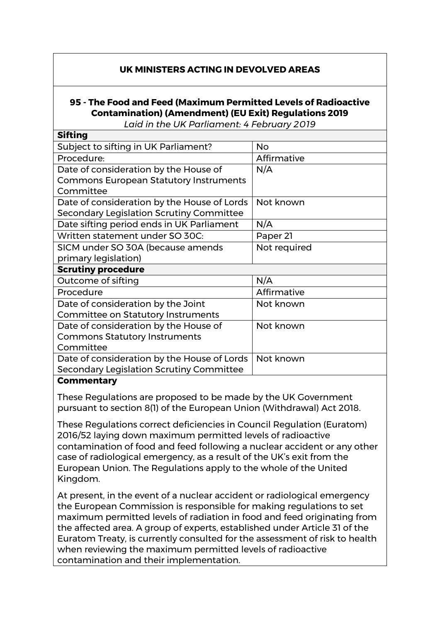## **UK MINISTERS ACTING IN DEVOLVED AREAS**

## **95 - The Food and Feed (Maximum Permitted Levels of Radioactive Contamination) (Amendment) (EU Exit) Regulations 2019**

*Laid in the UK Parliament: 4 February 2019*

| <b>Sifting</b>                                |              |
|-----------------------------------------------|--------------|
| Subject to sifting in UK Parliament?          | <b>No</b>    |
| Procedure:                                    | Affirmative  |
| Date of consideration by the House of         | N/A          |
| <b>Commons European Statutory Instruments</b> |              |
| Committee                                     |              |
| Date of consideration by the House of Lords   | Not known    |
| Secondary Legislation Scrutiny Committee      |              |
| Date sifting period ends in UK Parliament     | N/A          |
| Written statement under SO 30C:               | Paper 21     |
| SICM under SO 30A (because amends             | Not required |
| primary legislation)                          |              |
| <b>Scrutiny procedure</b>                     |              |
| Outcome of sifting                            | N/A          |
| Procedure                                     | Affirmative  |
| Date of consideration by the Joint            | Not known    |
| <b>Committee on Statutory Instruments</b>     |              |
| Date of consideration by the House of         | Not known    |
| <b>Commons Statutory Instruments</b>          |              |
|                                               |              |
| Committee                                     |              |
| Date of consideration by the House of Lords   | Not known    |
| Secondary Legislation Scrutiny Committee      |              |

## **Commentary**

These Regulations are proposed to be made by the UK Government pursuant to section 8(1) of the European Union (Withdrawal) Act 2018.

These Regulations correct deficiencies in Council Regulation (Euratom) 2016/52 laying down maximum permitted levels of radioactive contamination of food and feed following a nuclear accident or any other case of radiological emergency, as a result of the UK's exit from the European Union. The Regulations apply to the whole of the United Kingdom.

At present, in the event of a nuclear accident or radiological emergency the European Commission is responsible for making regulations to set maximum permitted levels of radiation in food and feed originating from the affected area. A group of experts, established under Article 31 of the Euratom Treaty, is currently consulted for the assessment of risk to health when reviewing the maximum permitted levels of radioactive contamination and their implementation.